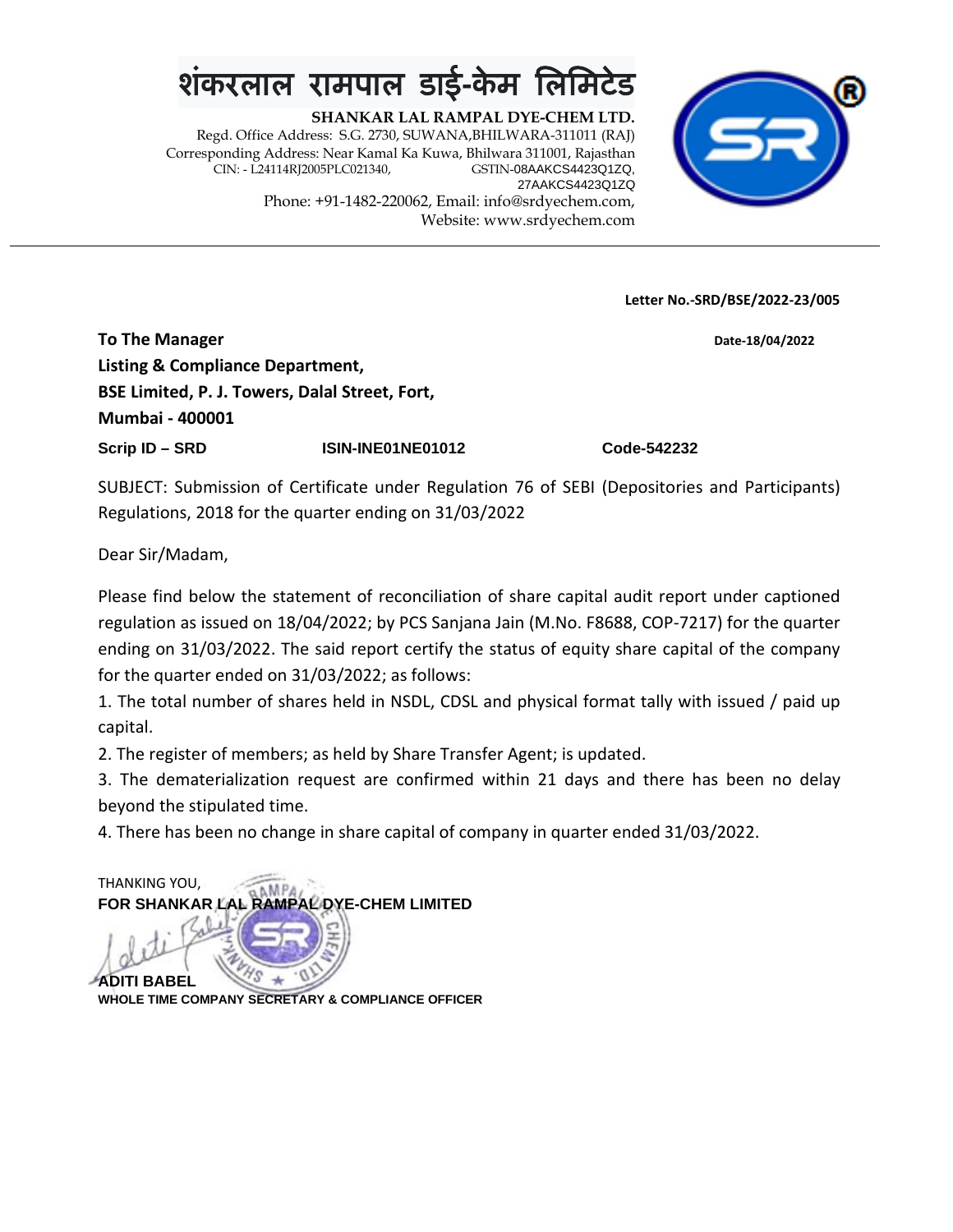### <u>शंकरलाल रामपाल डाई-केम लि</u>

**SHANKAR LAL RAMPAL DYE-CHEM LTD.** Regd. Office Address: S.G. 2730, SUWANA,BHILWARA-311011 (RAJ) Corresponding Address: Near Kamal Ka Kuwa, Bhilwara 311001, Rajasthan CIN: - L24114RJ2005PLC021340, 27AAKCS4423Q1ZQ Phone: +91-1482-220062, Email: info@srdyechem.com, Website: www.srdyechem.com



**Letter No.-SRD/BSE/2022-23/005**

**To The Manager Date-18/04/2022 Listing & Compliance Department, BSE Limited, P. J. Towers, Dalal Street, Fort, Mumbai - 400001 Scrip ID – SRD ISIN-INE01NE01012 Code-542232**

SUBJECT: Submission of Certificate under Regulation 76 of SEBI (Depositories and Participants) Regulations, 2018 for the quarter ending on 31/03/2022

Dear Sir/Madam,

Please find below the statement of reconciliation of share capital audit report under captioned regulation as issued on 18/04/2022; by PCS Sanjana Jain (M.No. F8688, COP-7217) for the quarter ending on 31/03/2022. The said report certify the status of equity share capital of the company for the quarter ended on 31/03/2022; as follows:

1. The total number of shares held in NSDL, CDSL and physical format tally with issued / paid up capital.

2. The register of members; as held by Share Transfer Agent; is updated.

3. The dematerialization request are confirmed within 21 days and there has been no delay beyond the stipulated time.

4. There has been no change in share capital of company in quarter ended 31/03/2022.

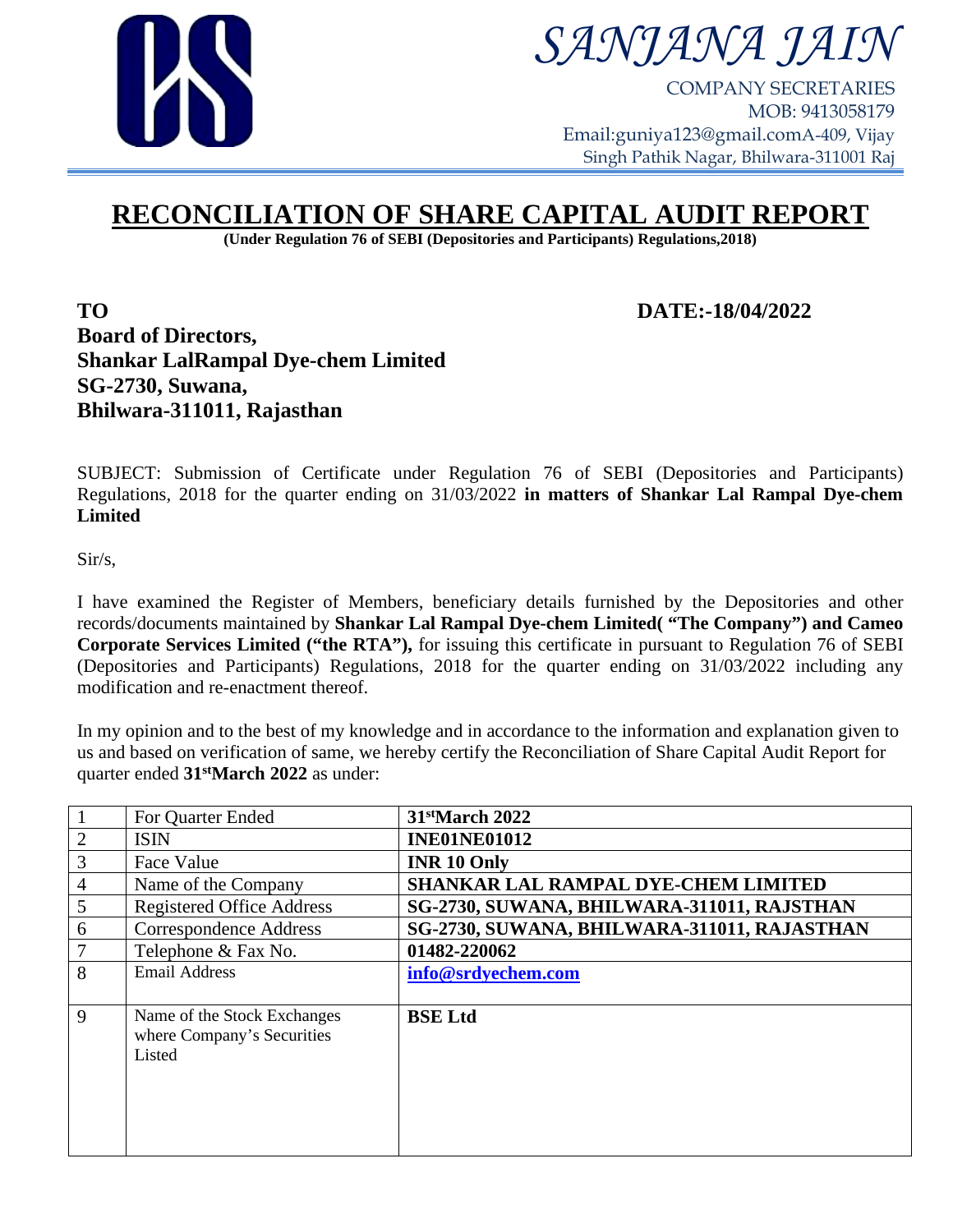

### *SANJANA JAIN*

COMPANY SECRETARIES MOB: 9413058179 Email:guniya123@gmail.comA-409, Vijay Singh Pathik Nagar, Bhilwara-311001 Raj

#### **RECONCILIATION OF SHARE CAPITAL AUDIT REPORT**

**(Under Regulation 76 of SEBI (Depositories and Participants) Regulations,2018)**

**TO DATE:-18/04/2022 Board of Directors, Shankar LalRampal Dye-chem Limited SG-2730, Suwana, Bhilwara-311011, Rajasthan**

SUBJECT: Submission of Certificate under Regulation 76 of SEBI (Depositories and Participants) Regulations, 2018 for the quarter ending on 31/03/2022 **in matters of Shankar Lal Rampal Dye-chem Limited**

Sir/s,

I have examined the Register of Members, beneficiary details furnished by the Depositories and other records/documents maintained by **Shankar Lal Rampal Dye-chem Limited( "The Company") and Cameo Corporate Services Limited ("the RTA"),** for issuing this certificate in pursuant to Regulation 76 of SEBI (Depositories and Participants) Regulations, 2018 for the quarter ending on 31/03/2022 including any modification and re-enactment thereof.

In my opinion and to the best of my knowledge and in accordance to the information and explanation given to us and based on verification of same, we hereby certify the Reconciliation of Share Capital Audit Report for quarter ended **31stMarch 2022** as under:

|                | For Quarter Ended                | 31 <sup>st</sup> March 2022                 |
|----------------|----------------------------------|---------------------------------------------|
| $\overline{2}$ | <b>ISIN</b>                      | <b>INE01NE01012</b>                         |
| 3              | Face Value                       | <b>INR 10 Only</b>                          |
| $\overline{4}$ | Name of the Company              | <b>SHANKAR LAL RAMPAL DYE-CHEM LIMITED</b>  |
| 5              | <b>Registered Office Address</b> | SG-2730, SUWANA, BHILWARA-311011, RAJSTHAN  |
| 6              | Correspondence Address           | SG-2730, SUWANA, BHILWARA-311011, RAJASTHAN |
|                | Telephone & Fax No.              | 01482-220062                                |
| 8              | <b>Email Address</b>             | info@srdyechem.com                          |
|                |                                  |                                             |
| 9              | Name of the Stock Exchanges      | <b>BSE</b> Ltd                              |
|                | where Company's Securities       |                                             |
|                | Listed                           |                                             |
|                |                                  |                                             |
|                |                                  |                                             |
|                |                                  |                                             |
|                |                                  |                                             |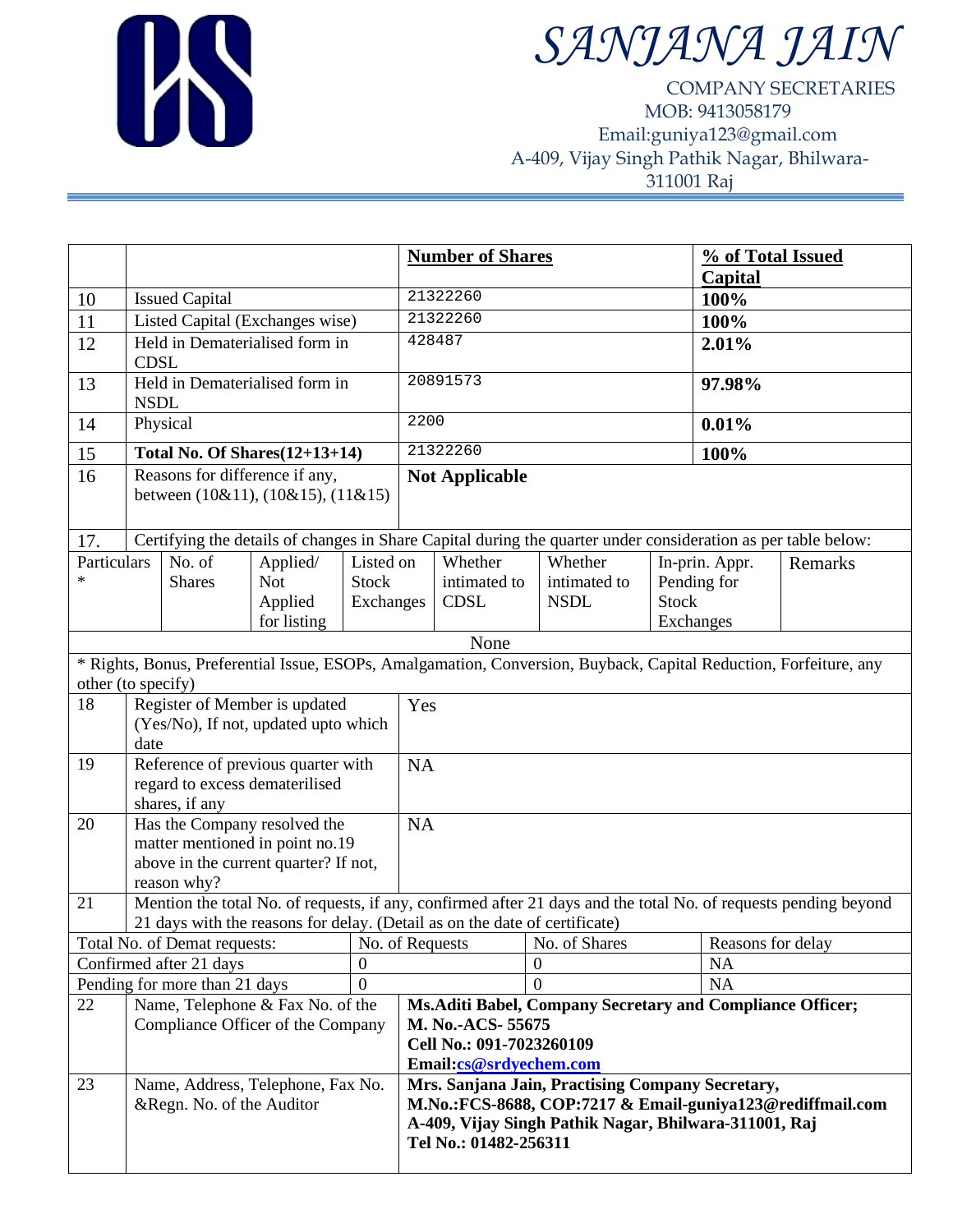

# *SANJANA JAIN*

COMPANY SECRETARIES MOB: 9413058179 Email:guniya123@gmail.com A-409, Vijay Singh Pathik Nagar, Bhilwara-311001 Raj

|                                                                                                                                         |                                                                                                                                |                               |                                                                       | <b>Number of Shares</b>          |                                                                                                                                                                                                 |                                                                                                                                     | % of Total Issued<br><b>Capital</b>                                                                           |                   |           |  |
|-----------------------------------------------------------------------------------------------------------------------------------------|--------------------------------------------------------------------------------------------------------------------------------|-------------------------------|-----------------------------------------------------------------------|----------------------------------|-------------------------------------------------------------------------------------------------------------------------------------------------------------------------------------------------|-------------------------------------------------------------------------------------------------------------------------------------|---------------------------------------------------------------------------------------------------------------|-------------------|-----------|--|
| 10                                                                                                                                      | <b>Issued Capital</b>                                                                                                          |                               |                                                                       |                                  | 21322260                                                                                                                                                                                        |                                                                                                                                     |                                                                                                               | 100%              |           |  |
| 11                                                                                                                                      | Listed Capital (Exchanges wise)                                                                                                |                               |                                                                       |                                  | 21322260                                                                                                                                                                                        |                                                                                                                                     |                                                                                                               | 100%              |           |  |
| 12                                                                                                                                      | Held in Dematerialised form in<br><b>CDSL</b>                                                                                  |                               |                                                                       |                                  | 428487                                                                                                                                                                                          |                                                                                                                                     |                                                                                                               | 2.01%             |           |  |
| 13                                                                                                                                      | Held in Dematerialised form in<br><b>NSDL</b>                                                                                  |                               |                                                                       | 20891573                         |                                                                                                                                                                                                 |                                                                                                                                     | 97.98%                                                                                                        |                   |           |  |
| 14                                                                                                                                      | Physical                                                                                                                       |                               |                                                                       | 2200                             |                                                                                                                                                                                                 |                                                                                                                                     | 0.01%                                                                                                         |                   |           |  |
| 15                                                                                                                                      | <b>Total No. Of Shares</b> (12+13+14)                                                                                          |                               |                                                                       | 21322260                         |                                                                                                                                                                                                 |                                                                                                                                     | 100%                                                                                                          |                   |           |  |
| 16                                                                                                                                      | Reasons for difference if any,<br>between (10&11), (10&15), (11&15)                                                            |                               |                                                                       |                                  | <b>Not Applicable</b>                                                                                                                                                                           |                                                                                                                                     |                                                                                                               |                   |           |  |
| 17.                                                                                                                                     |                                                                                                                                |                               |                                                                       |                                  |                                                                                                                                                                                                 |                                                                                                                                     | Certifying the details of changes in Share Capital during the quarter under consideration as per table below: |                   |           |  |
| Particulars<br>*                                                                                                                        | No. of<br>Applied/<br><b>Not</b><br><b>Shares</b><br>Applied<br>for listing                                                    |                               | Listed on<br><b>Stock</b><br>Exchanges                                |                                  | Whether<br>intimated to<br><b>CDSL</b>                                                                                                                                                          | Whether<br>intimated to<br><b>NSDL</b>                                                                                              | In-prin. Appr.<br>Pending for<br><b>Stock</b><br>Exchanges                                                    |                   | Remarks   |  |
|                                                                                                                                         |                                                                                                                                |                               |                                                                       |                                  |                                                                                                                                                                                                 | None                                                                                                                                |                                                                                                               |                   |           |  |
| * Rights, Bonus, Preferential Issue, ESOPs, Amalgamation, Conversion, Buyback, Capital Reduction, Forfeiture, any<br>other (to specify) |                                                                                                                                |                               |                                                                       |                                  |                                                                                                                                                                                                 |                                                                                                                                     |                                                                                                               |                   |           |  |
| 18                                                                                                                                      | Register of Member is updated                                                                                                  |                               |                                                                       |                                  | Yes                                                                                                                                                                                             |                                                                                                                                     |                                                                                                               |                   |           |  |
|                                                                                                                                         | (Yes/No), If not, updated upto which<br>date                                                                                   |                               |                                                                       |                                  |                                                                                                                                                                                                 |                                                                                                                                     |                                                                                                               |                   |           |  |
| 19                                                                                                                                      | Reference of previous quarter with<br>regard to excess dematerilised<br>shares, if any                                         |                               |                                                                       |                                  | <b>NA</b>                                                                                                                                                                                       |                                                                                                                                     |                                                                                                               |                   |           |  |
| 20                                                                                                                                      | Has the Company resolved the                                                                                                   |                               |                                                                       | <b>NA</b>                        |                                                                                                                                                                                                 |                                                                                                                                     |                                                                                                               |                   |           |  |
|                                                                                                                                         | matter mentioned in point no.19<br>above in the current quarter? If not,                                                       |                               |                                                                       |                                  |                                                                                                                                                                                                 |                                                                                                                                     |                                                                                                               |                   |           |  |
| 21                                                                                                                                      | reason why?<br>Mention the total No. of requests, if any, confirmed after 21 days and the total No. of requests pending beyond |                               |                                                                       |                                  |                                                                                                                                                                                                 |                                                                                                                                     |                                                                                                               |                   |           |  |
|                                                                                                                                         | 21 days with the reasons for delay. (Detail as on the date of certificate)                                                     |                               |                                                                       |                                  |                                                                                                                                                                                                 |                                                                                                                                     |                                                                                                               |                   |           |  |
| Total No. of Demat requests:                                                                                                            |                                                                                                                                |                               |                                                                       | No. of Shares<br>No. of Requests |                                                                                                                                                                                                 |                                                                                                                                     |                                                                                                               | Reasons for delay |           |  |
|                                                                                                                                         | $\boldsymbol{0}$<br>Confirmed after 21 days                                                                                    |                               |                                                                       |                                  |                                                                                                                                                                                                 |                                                                                                                                     | $\overline{0}$                                                                                                |                   |           |  |
|                                                                                                                                         |                                                                                                                                | Pending for more than 21 days |                                                                       | $\Omega$                         |                                                                                                                                                                                                 | $\Omega$                                                                                                                            |                                                                                                               |                   | <b>NA</b> |  |
| 22                                                                                                                                      |                                                                                                                                |                               | Name, Telephone & Fax No. of the<br>Compliance Officer of the Company |                                  |                                                                                                                                                                                                 | Ms.Aditi Babel, Company Secretary and Compliance Officer;<br>M. No.-ACS-55675<br>Cell No.: 091-7023260109<br>Email:cs@srdyechem.com |                                                                                                               |                   |           |  |
| 23                                                                                                                                      | Name, Address, Telephone, Fax No.<br>&Regn. No. of the Auditor                                                                 |                               |                                                                       |                                  | Mrs. Sanjana Jain, Practising Company Secretary,<br>M.No.:FCS-8688, COP:7217 & Email-guniya123@rediffmail.com<br>A-409, Vijay Singh Pathik Nagar, Bhilwara-311001, Raj<br>Tel No.: 01482-256311 |                                                                                                                                     |                                                                                                               |                   |           |  |